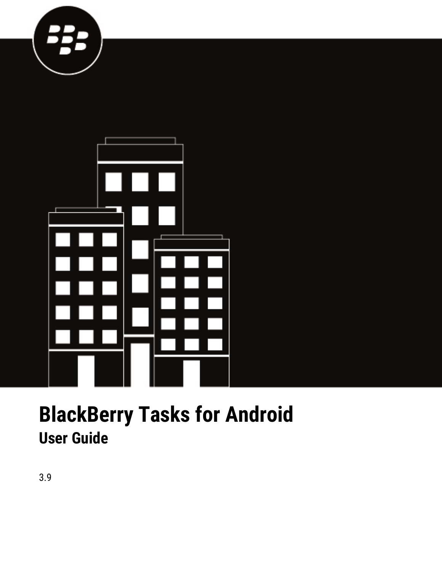



# **BlackBerry Tasks for Android User Guide**

3.9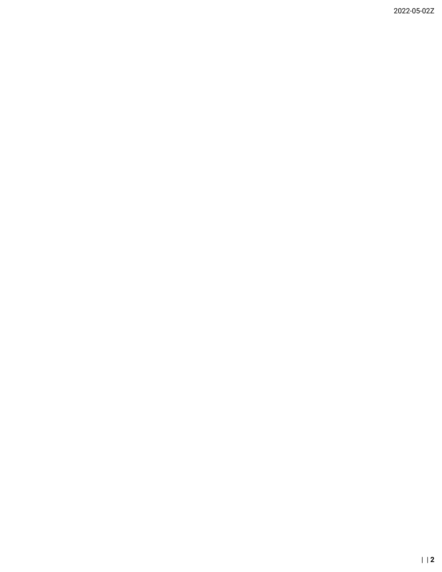2022-05-02Z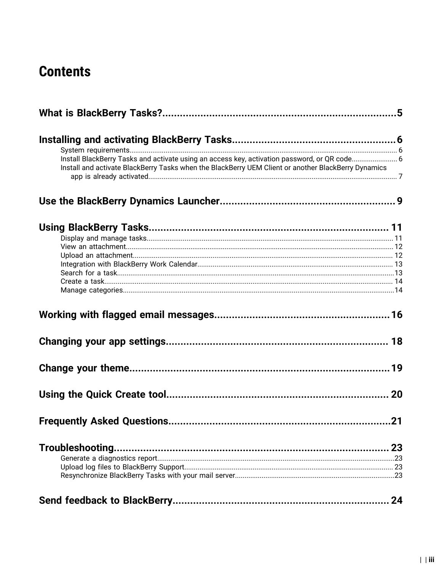## **Contents**

| Install BlackBerry Tasks and activate using an access key, activation password, or QR code 6<br>Install and activate BlackBerry Tasks when the BlackBerry UEM Client or another BlackBerry Dynamics |    |
|-----------------------------------------------------------------------------------------------------------------------------------------------------------------------------------------------------|----|
|                                                                                                                                                                                                     |    |
|                                                                                                                                                                                                     |    |
|                                                                                                                                                                                                     |    |
|                                                                                                                                                                                                     |    |
|                                                                                                                                                                                                     |    |
|                                                                                                                                                                                                     |    |
|                                                                                                                                                                                                     |    |
|                                                                                                                                                                                                     |    |
|                                                                                                                                                                                                     |    |
|                                                                                                                                                                                                     |    |
|                                                                                                                                                                                                     |    |
|                                                                                                                                                                                                     |    |
|                                                                                                                                                                                                     |    |
|                                                                                                                                                                                                     |    |
| Troubleshooting.                                                                                                                                                                                    | 23 |
|                                                                                                                                                                                                     |    |
|                                                                                                                                                                                                     |    |
|                                                                                                                                                                                                     |    |
|                                                                                                                                                                                                     | 24 |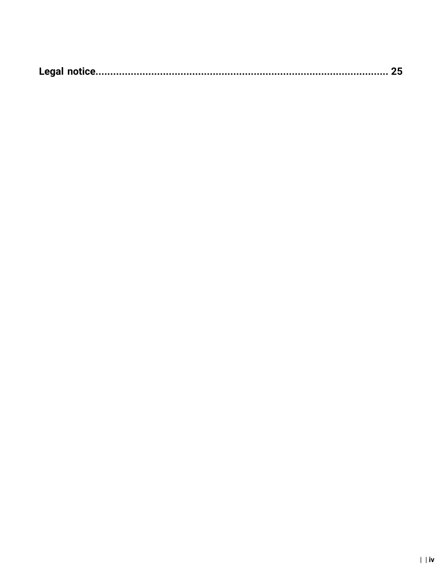|--|--|--|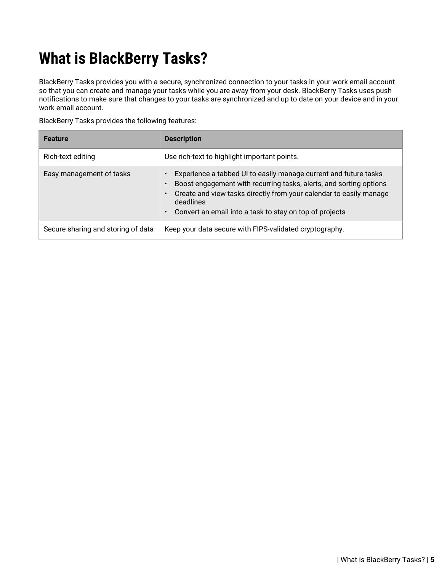## <span id="page-4-0"></span>**What is BlackBerry Tasks?**

BlackBerry Tasks provides you with a secure, synchronized connection to your tasks in your work email account so that you can create and manage your tasks while you are away from your desk. BlackBerry Tasks uses push notifications to make sure that changes to your tasks are synchronized and up to date on your device and in your work email account.

BlackBerry Tasks provides the following features:

| <b>Feature</b>                     | <b>Description</b>                                                                                                                                                                                                                                                                   |
|------------------------------------|--------------------------------------------------------------------------------------------------------------------------------------------------------------------------------------------------------------------------------------------------------------------------------------|
| Rich-text editing                  | Use rich-text to highlight important points.                                                                                                                                                                                                                                         |
| Easy management of tasks           | Experience a tabbed UI to easily manage current and future tasks<br>Boost engagement with recurring tasks, alerts, and sorting options<br>Create and view tasks directly from your calendar to easily manage<br>deadlines<br>Convert an email into a task to stay on top of projects |
| Secure sharing and storing of data | Keep your data secure with FIPS-validated cryptography.                                                                                                                                                                                                                              |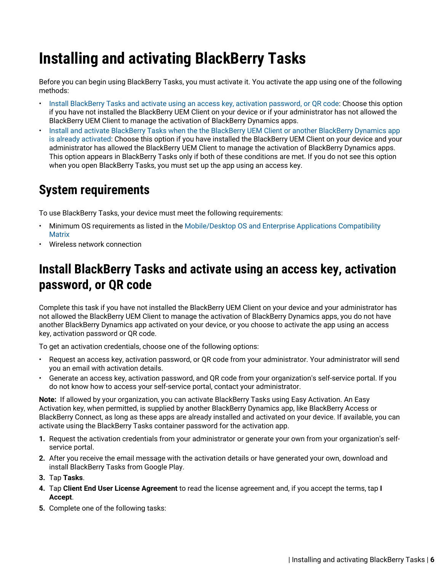## <span id="page-5-0"></span>**Installing and activating BlackBerry Tasks**

Before you can begin using BlackBerry Tasks, you must activate it. You activate the app using one of the following methods:

- [Install BlackBerry Tasks and activate using an access key, activation password, or QR code:](#page-5-2) Choose this option if you have not installed the BlackBerry UEM Client on your device or if your administrator has not allowed the BlackBerry UEM Client to manage the activation of BlackBerry Dynamics apps.
- [Install and activate BlackBerry Tasks when the the BlackBerry UEM Client or another BlackBerry Dynamics app](#page-6-0) [is already activated:](#page-6-0) Choose this option if you have installed the BlackBerry UEM Client on your device and your administrator has allowed the BlackBerry UEM Client to manage the activation of BlackBerry Dynamics apps. This option appears in BlackBerry Tasks only if both of these conditions are met. If you do not see this option when you open BlackBerry Tasks, you must set up the app using an access key.

### <span id="page-5-1"></span>**System requirements**

To use BlackBerry Tasks, your device must meet the following requirements:

- Minimum OS requirements as listed in the [Mobile/Desktop OS and Enterprise Applications Compatibility](https://docs.blackberry.com/en/endpoint-management/compatibility-matrix/mobile-os-matrix/ksa1417208635967) **[Matrix](https://docs.blackberry.com/en/endpoint-management/compatibility-matrix/mobile-os-matrix/ksa1417208635967)**
- Wireless network connection

### <span id="page-5-2"></span>**Install BlackBerry Tasks and activate using an access key, activation password, or QR code**

Complete this task if you have not installed the BlackBerry UEM Client on your device and your administrator has not allowed the BlackBerry UEM Client to manage the activation of BlackBerry Dynamics apps, you do not have another BlackBerry Dynamics app activated on your device, or you choose to activate the app using an access key, activation password or QR code.

To get an activation credentials, choose one of the following options:

- Request an access key, activation password, or QR code from your administrator. Your administrator will send you an email with activation details.
- Generate an access key, activation password, and QR code from your organization's self-service portal. If you do not know how to access your self-service portal, contact your administrator.

**Note:** If allowed by your organization, you can activate BlackBerry Tasks using Easy Activation. An Easy Activation key, when permitted, is supplied by another BlackBerry Dynamics app, like BlackBerry Access or BlackBerry Connect, as long as these apps are already installed and activated on your device. If available, you can activate using the BlackBerry Tasks container password for the activation app.

- **1.** Request the activation credentials from your administrator or generate your own from your organization's selfservice portal.
- **2.** After you receive the email message with the activation details or have generated your own, download and install BlackBerry Tasks from Google Play.
- **3.** Tap **Tasks**.
- **4.** Tap **Client End User License Agreement** to read the license agreement and, if you accept the terms, tap **I Accept**.
- **5.** Complete one of the following tasks: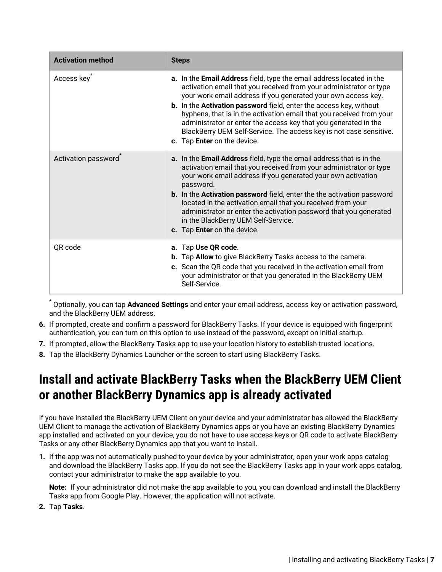| <b>Activation method</b>         | <b>Steps</b>                                                                                                                                                                                                                                                                                                                                                                                                                                                                                                                      |
|----------------------------------|-----------------------------------------------------------------------------------------------------------------------------------------------------------------------------------------------------------------------------------------------------------------------------------------------------------------------------------------------------------------------------------------------------------------------------------------------------------------------------------------------------------------------------------|
| Access key*                      | a. In the Email Address field, type the email address located in the<br>activation email that you received from your administrator or type<br>your work email address if you generated your own access key.<br>b. In the Activation password field, enter the access key, without<br>hyphens, that is in the activation email that you received from your<br>administrator or enter the access key that you generated in the<br>BlackBerry UEM Self-Service. The access key is not case sensitive.<br>c. Tap Enter on the device. |
| Activation password <sup>®</sup> | <b>a.</b> In the <b>Email Address</b> field, type the email address that is in the<br>activation email that you received from your administrator or type<br>your work email address if you generated your own activation<br>password.<br>b. In the Activation password field, enter the the activation password<br>located in the activation email that you received from your<br>administrator or enter the activation password that you generated<br>in the BlackBerry UEM Self-Service.<br>c. Tap Enter on the device.         |
| QR code                          | a. Tap Use QR code.<br><b>b.</b> Tap Allow to give BlackBerry Tasks access to the camera.<br>c. Scan the QR code that you received in the activation email from<br>your administrator or that you generated in the BlackBerry UEM<br>Self-Service.                                                                                                                                                                                                                                                                                |

\* Optionally, you can tap **Advanced Settings** and enter your email address, access key or activation password, and the BlackBerry UEM address.

- **6.** If prompted, create and confirm a password for BlackBerry Tasks. If your device is equipped with fingerprint authentication, you can turn on this option to use instead of the password, except on initial startup.
- **7.** If prompted, allow the BlackBerry Tasks app to use your location history to establish trusted locations.
- **8.** Tap the BlackBerry Dynamics Launcher or the screen to start using BlackBerry Tasks.

### <span id="page-6-0"></span>**Install and activate BlackBerry Tasks when the BlackBerry UEM Client or another BlackBerry Dynamics app is already activated**

If you have installed the BlackBerry UEM Client on your device and your administrator has allowed the BlackBerry UEM Client to manage the activation of BlackBerry Dynamics apps or you have an existing BlackBerry Dynamics app installed and activated on your device, you do not have to use access keys or QR code to activate BlackBerry Tasks or any other BlackBerry Dynamics app that you want to install.

**1.** If the app was not automatically pushed to your device by your administrator, open your work apps catalog and download the BlackBerry Tasks app. If you do not see the BlackBerry Tasks app in your work apps catalog, contact your administrator to make the app available to you.

**Note:** If your administrator did not make the app available to you, you can download and install the BlackBerry Tasks app from Google Play. However, the application will not activate.

**2.** Tap **Tasks**.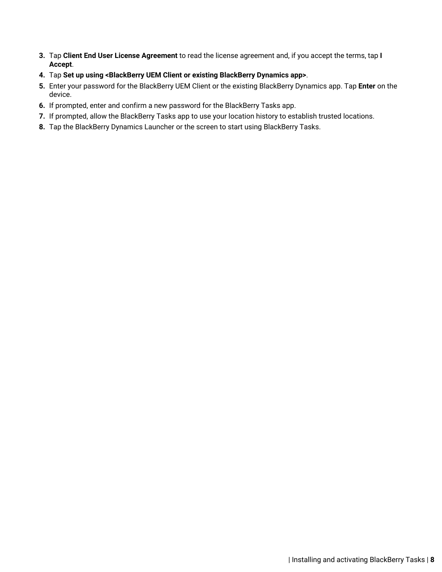- **3.** Tap **Client End User License Agreement** to read the license agreement and, if you accept the terms, tap **I Accept**.
- **4.** Tap **Set up using <BlackBerry UEM Client or existing BlackBerry Dynamics app>**.
- **5.** Enter your password for the BlackBerry UEM Client or the existing BlackBerry Dynamics app. Tap **Enter** on the device.
- **6.** If prompted, enter and confirm a new password for the BlackBerry Tasks app.
- **7.** If prompted, allow the BlackBerry Tasks app to use your location history to establish trusted locations.
- **8.** Tap the BlackBerry Dynamics Launcher or the screen to start using BlackBerry Tasks.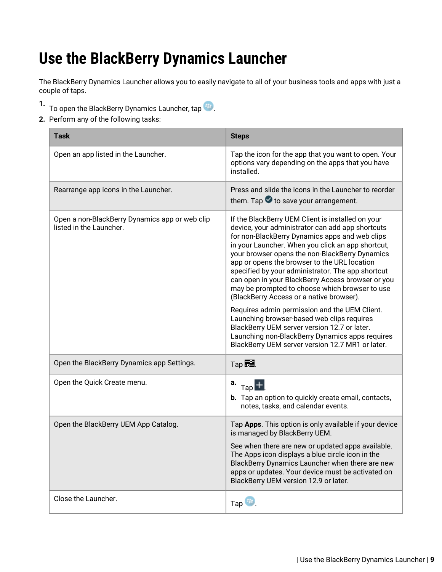## <span id="page-8-0"></span>**Use the BlackBerry Dynamics Launcher**

The BlackBerry Dynamics Launcher allows you to easily navigate to all of your business tools and apps with just a couple of taps.

- **1.** To open the BlackBerry Dynamics Launcher, tap  $\frac{4\pi}{3}$ .
- **2.** Perform any of the following tasks:

| <b>Task</b>                                                               | <b>Steps</b>                                                                                                                                                                                                                                                                                                                                                                                                                                                                                                                                                                                                                                                                                                                                                                 |
|---------------------------------------------------------------------------|------------------------------------------------------------------------------------------------------------------------------------------------------------------------------------------------------------------------------------------------------------------------------------------------------------------------------------------------------------------------------------------------------------------------------------------------------------------------------------------------------------------------------------------------------------------------------------------------------------------------------------------------------------------------------------------------------------------------------------------------------------------------------|
| Open an app listed in the Launcher.                                       | Tap the icon for the app that you want to open. Your<br>options vary depending on the apps that you have<br>installed.                                                                                                                                                                                                                                                                                                                                                                                                                                                                                                                                                                                                                                                       |
| Rearrange app icons in the Launcher.                                      | Press and slide the icons in the Launcher to reorder<br>them. Tap $\blacktriangleright$ to save your arrangement.                                                                                                                                                                                                                                                                                                                                                                                                                                                                                                                                                                                                                                                            |
| Open a non-BlackBerry Dynamics app or web clip<br>listed in the Launcher. | If the BlackBerry UEM Client is installed on your<br>device, your administrator can add app shortcuts<br>for non-BlackBerry Dynamics apps and web clips<br>in your Launcher. When you click an app shortcut,<br>your browser opens the non-BlackBerry Dynamics<br>app or opens the browser to the URL location<br>specified by your administrator. The app shortcut<br>can open in your BlackBerry Access browser or you<br>may be prompted to choose which browser to use<br>(BlackBerry Access or a native browser).<br>Requires admin permission and the UEM Client.<br>Launching browser-based web clips requires<br>BlackBerry UEM server version 12.7 or later.<br>Launching non-BlackBerry Dynamics apps requires<br>BlackBerry UEM server version 12.7 MR1 or later. |
| Open the BlackBerry Dynamics app Settings.                                | $\mathsf{Tap}$ $\mathbb{R}^2$ .                                                                                                                                                                                                                                                                                                                                                                                                                                                                                                                                                                                                                                                                                                                                              |
| Open the Quick Create menu.                                               | а.<br>$Tap$ $\pm$<br><b>b.</b> Tap an option to quickly create email, contacts,<br>notes, tasks, and calendar events.                                                                                                                                                                                                                                                                                                                                                                                                                                                                                                                                                                                                                                                        |
| Open the BlackBerry UEM App Catalog.                                      | Tap Apps. This option is only available if your device<br>is managed by BlackBerry UEM.<br>See when there are new or updated apps available.<br>The Apps icon displays a blue circle icon in the<br>BlackBerry Dynamics Launcher when there are new<br>apps or updates. Your device must be activated on<br>BlackBerry UEM version 12.9 or later.                                                                                                                                                                                                                                                                                                                                                                                                                            |
| Close the Launcher.                                                       | Tap <sup>##</sup>                                                                                                                                                                                                                                                                                                                                                                                                                                                                                                                                                                                                                                                                                                                                                            |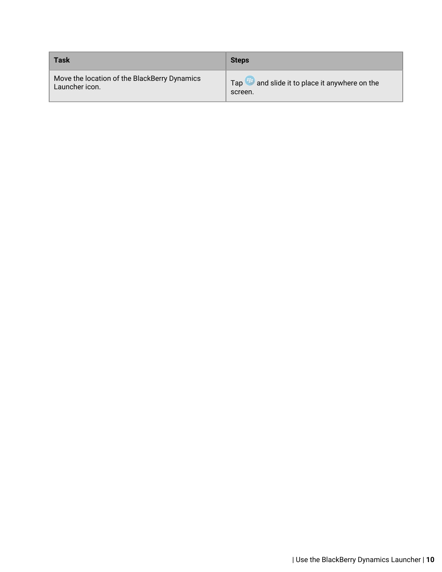| <b>Task</b>                                                    | <b>Steps</b>                                               |
|----------------------------------------------------------------|------------------------------------------------------------|
| Move the location of the BlackBerry Dynamics<br>Launcher icon. | and slide it to place it anywhere on the<br>Tap<br>screen. |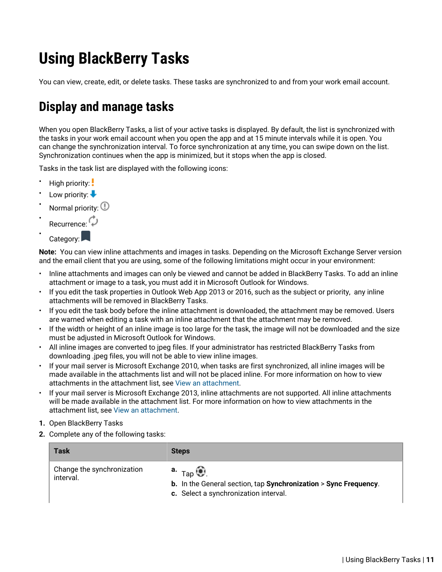## <span id="page-10-0"></span>**Using BlackBerry Tasks**

You can view, create, edit, or delete tasks. These tasks are synchronized to and from your work email account.

### <span id="page-10-1"></span>**Display and manage tasks**

When you open BlackBerry Tasks, a list of your active tasks is displayed. By default, the list is synchronized with the tasks in your work email account when you open the app and at 15 minute intervals while it is open. You can change the synchronization interval. To force synchronization at any time, you can swipe down on the list. Synchronization continues when the app is minimized, but it stops when the app is closed.

Tasks in the task list are displayed with the following icons:

- High priority:  $\frac{1}{2}$
- Low priority:  $\bigtriangledown$
- Normal priority:  $\mathbb O$
- Recurrence:
- Category:

**Note:** You can view inline attachments and images in tasks. Depending on the Microsoft Exchange Server version and the email client that you are using, some of the following limitations might occur in your environment:

- Inline attachments and images can only be viewed and cannot be added in BlackBerry Tasks. To add an inline attachment or image to a task, you must add it in Microsoft Outlook for Windows.
- If you edit the task properties in Outlook Web App 2013 or 2016, such as the subject or priority, any inline attachments will be removed in BlackBerry Tasks.
- If you edit the task body before the inline attachment is downloaded, the attachment may be removed. Users are warned when editing a task with an inline attachment that the attachment may be removed.
- If the width or height of an inline image is too large for the task, the image will not be downloaded and the size must be adjusted in Microsoft Outlook for Windows.
- All inline images are converted to jpeg files. If your administrator has restricted BlackBerry Tasks from downloading .jpeg files, you will not be able to view inline images.
- If your mail server is Microsoft Exchange 2010, when tasks are first synchronized, all inline images will be made available in the attachments list and will not be placed inline. For more information on how to view attachments in the attachment list, see [View an attachment](#page-11-0).
- If your mail server is Microsoft Exchange 2013, inline attachments are not supported. All inline attachments will be made available in the attachment list. For more information on how to view attachments in the attachment list, see [View an attachment.](#page-11-0)
- **1.** Open BlackBerry Tasks
- **2.** Complete any of the following tasks:

| Task                                    | <b>Steps</b>                                                                                                                               |
|-----------------------------------------|--------------------------------------------------------------------------------------------------------------------------------------------|
| Change the synchronization<br>interval. | $\ddot{a}$ . Tap $\ddot{a}$ .<br>b. In the General section, tap Synchronization > Sync Frequency.<br>c. Select a synchronization interval. |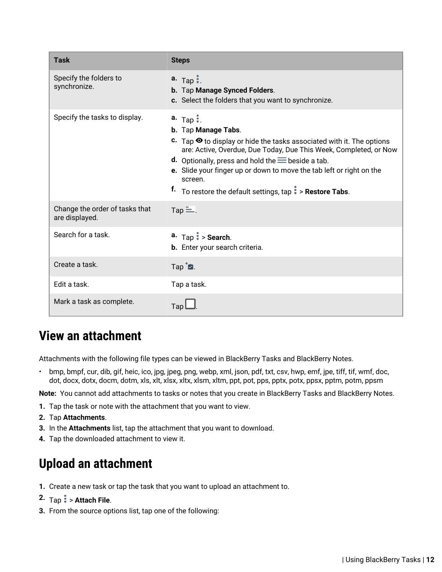| <b>Task</b>                                      | <b>Steps</b>                                                                                                                                                                                                                                                                                                                                                                                                                                                    |
|--------------------------------------------------|-----------------------------------------------------------------------------------------------------------------------------------------------------------------------------------------------------------------------------------------------------------------------------------------------------------------------------------------------------------------------------------------------------------------------------------------------------------------|
| Specify the folders to<br>synchronize.           | <b>a.</b> Tap $\frac{3}{2}$ .<br>b. Tap Manage Synced Folders.<br>c. Select the folders that you want to synchronize.                                                                                                                                                                                                                                                                                                                                           |
| Specify the tasks to display.                    | <b>a.</b> Tap $\frac{1}{2}$ .<br>b. Tap Manage Tabs.<br><b>c.</b> Tap $\bullet$ to display or hide the tasks associated with it. The options<br>are: Active, Overdue, Due Today, Due This Week, Completed, or Now<br><b>d.</b> Optionally, press and hold the $\equiv$ beside a tab.<br>e. Slide your finger up or down to move the tab left or right on the<br>screen.<br><b>f.</b> To restore the default settings, tap $\frac{1}{2}$ > <b>Restore Tabs</b> . |
| Change the order of tasks that<br>are displayed. | $Tap =$ .                                                                                                                                                                                                                                                                                                                                                                                                                                                       |
| Search for a task.                               | a. $\text{Top}$ $\overset{\bullet}{\ast}$ > Search.<br>b. Enter your search criteria.                                                                                                                                                                                                                                                                                                                                                                           |
| Create a task.                                   | $Tap \nightharpoonup n$                                                                                                                                                                                                                                                                                                                                                                                                                                         |
| Edit a task.                                     | Tap a task.                                                                                                                                                                                                                                                                                                                                                                                                                                                     |
| Mark a task as complete.                         | Tap                                                                                                                                                                                                                                                                                                                                                                                                                                                             |

### <span id="page-11-0"></span>**View an attachment**

Attachments with the following file types can be viewed in BlackBerry Tasks and BlackBerry Notes.

• bmp, bmpf, cur, dib, gif, heic, ico, jpg, jpeg, png, webp, xml, json, pdf, txt, csv, hwp, emf, jpe, tiff, tif, wmf, doc, dot, docx, dotx, docm, dotm, xls, xlt, xlsx, xltx, xlsm, xltm, ppt, pot, pps, pptx, potx, ppsx, pptm, potm, ppsm

**Note:** You cannot add attachments to tasks or notes that you create in BlackBerry Tasks and BlackBerry Notes.

- **1.** Tap the task or note with the attachment that you want to view.
- **2.** Tap **Attachments**.
- **3.** In the **Attachments** list, tap the attachment that you want to download.
- **4.** Tap the downloaded attachment to view it.

### <span id="page-11-1"></span>**Upload an attachment**

- **1.** Create a new task or tap the task that you want to upload an attachment to.
- $2.$  Tap  $\frac{1}{2}$  > Attach File.
- **3.** From the source options list, tap one of the following: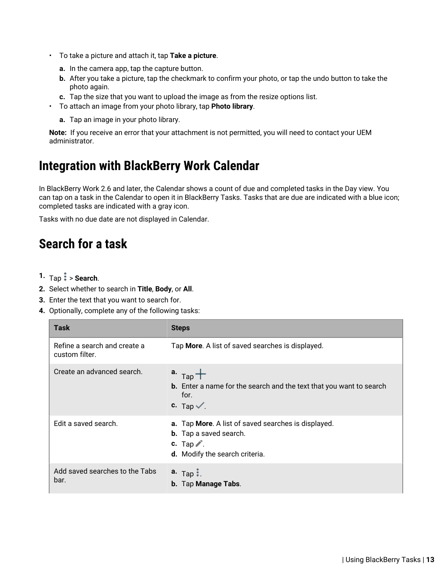- To take a picture and attach it, tap **Take a picture**.
	- **a.** In the camera app, tap the capture button.
	- **b.** After you take a picture, tap the checkmark to confirm your photo, or tap the undo button to take the photo again.
	- **c.** Tap the size that you want to upload the image as from the resize options list.
- To attach an image from your photo library, tap **Photo library**.
	- **a.** Tap an image in your photo library.

**Note:** If you receive an error that your attachment is not permitted, you will need to contact your UEM administrator.

### <span id="page-12-0"></span>**Integration with BlackBerry Work Calendar**

In BlackBerry Work 2.6 and later, the Calendar shows a count of due and completed tasks in the Day view. You can tap on a task in the Calendar to open it in BlackBerry Tasks. Tasks that are due are indicated with a blue icon; completed tasks are indicated with a gray icon.

Tasks with no due date are not displayed in Calendar.

### <span id="page-12-1"></span>**Search for a task**

- **1.** Tap  $\frac{1}{2}$  > **Search**.
- **2.** Select whether to search in **Title**, **Body**, or **All**.
- **3.** Enter the text that you want to search for.
- **4.** Optionally, complete any of the following tasks:

| Task                                           | <b>Steps</b>                                                                                                                              |
|------------------------------------------------|-------------------------------------------------------------------------------------------------------------------------------------------|
| Refine a search and create a<br>custom filter. | Tap More. A list of saved searches is displayed.                                                                                          |
| Create an advanced search.                     | a. $Tap +$<br><b>b.</b> Enter a name for the search and the text that you want to search<br>for.<br>c. Tap $\checkmark$ .                 |
| Edit a saved search.                           | a. Tap More. A list of saved searches is displayed.<br><b>b.</b> Tap a saved search.<br>c. Tap $\ell$ .<br>d. Modify the search criteria. |
| Add saved searches to the Tabs<br>bar.         | $a.$ Tap $\frac{3}{2}$ .<br>b. Tap Manage Tabs.                                                                                           |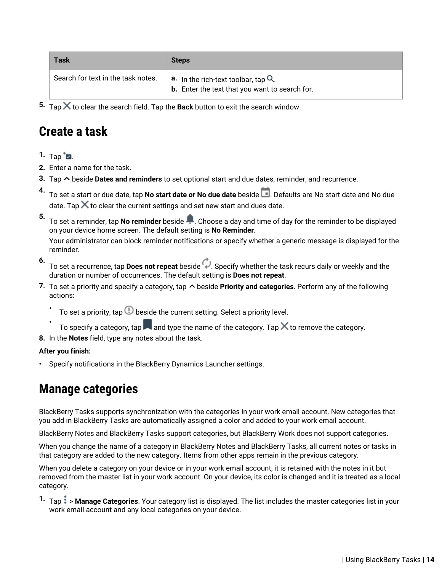| Task                               | <b>Steps</b>                                                                                           |
|------------------------------------|--------------------------------------------------------------------------------------------------------|
| Search for text in the task notes. | <b>a.</b> In the rich-text toolbar, tap $Q$ .<br><b>b.</b> Enter the text that you want to search for. |

**5.** Tap  $\times$  to clear the search field. Tap the **Back** button to exit the search window.

### <span id="page-13-0"></span>**Create a task**

- **1.** Tap **1.**
- **2.** Enter a name for the task.
- **3.** Tap beside **Dates and reminders** to set optional start and due dates, reminder, and recurrence.
- **4.** To set a start or due date, tap **No start date or No due date** beside . Defaults are No start date and No due date. Tap  $\times$  to clear the current settings and set new start and dues date.
- **5.** To set a reminder, tap **No reminder** beside . Choose a day and time of day for the reminder to be displayed on your device home screen. The default setting is **No Reminder**.

Your administrator can block reminder notifications or specify whether a generic message is displayed for the reminder.

- **6.** To set a recurrence, tap **Does not repeat** beside **1.** Specify whether the task recurs daily or weekly and the duration or number of occurrences. The default setting is **Does not repeat**.
- **7.** To set a priority and specify a category, tap  $\sim$  beside **Priority and categories**. Perform any of the following actions:
	- To set a priority, tap  $\mathbb O$  beside the current setting. Select a priority level.
	- To specify a category, tap  $\blacksquare$  and type the name of the category. Tap  $\times$  to remove the category.
- **8.** In the **Notes** field, type any notes about the task.

#### **After you finish:**

• Specify notifications in the BlackBerry Dynamics Launcher settings.

### <span id="page-13-1"></span>**Manage categories**

BlackBerry Tasks supports synchronization with the categories in your work email account. New categories that you add in BlackBerry Tasks are automatically assigned a color and added to your work email account.

BlackBerry Notes and BlackBerry Tasks support categories, but BlackBerry Work does not support categories.

When you change the name of a category in BlackBerry Notes and BlackBerry Tasks, all current notes or tasks in that category are added to the new category. Items from other apps remain in the previous category.

When you delete a category on your device or in your work email account, it is retained with the notes in it but removed from the master list in your work account. On your device, its color is changed and it is treated as a local category.

**1.** Tap **:** > Manage Categories. Your category list is displayed. The list includes the master categories list in your work email account and any local categories on your device.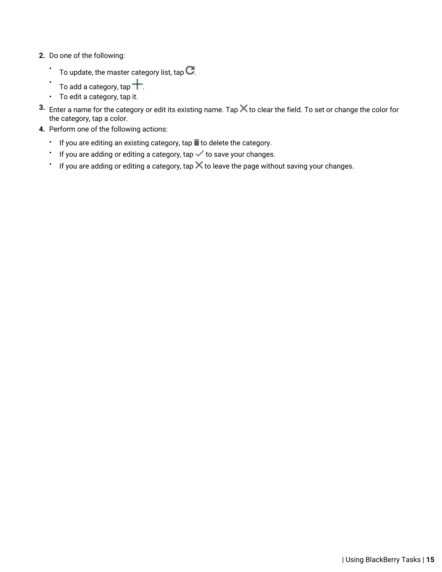- **2.** Do one of the following:
	- To update, the master category list, tap  $\mathbf C$ .
	- To add a category, tap  $+$ .
	- To edit a category, tap it.
- **3.** Enter a name for the category or edit its existing name. Tap X to clear the field. To set or change the color for the category, tap a color.
- **4.** Perform one of the following actions:
	- If you are editing an existing category, tap  $\bar{I}$  to delete the category.
	- If you are adding or editing a category, tap  $\checkmark$  to save your changes.
	- $\cdot$  If you are adding or editing a category, tap  $\times$  to leave the page without saving your changes.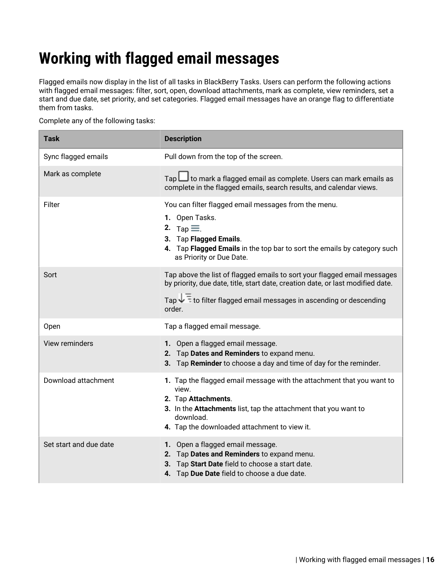## <span id="page-15-0"></span>**Working with flagged email messages**

Flagged emails now display in the list of all tasks in BlackBerry Tasks. Users can perform the following actions with flagged email messages: filter, sort, open, download attachments, mark as complete, view reminders, set a start and due date, set priority, and set categories. Flagged email messages have an orange flag to differentiate them from tasks.

Complete any of the following tasks:

| <b>Task</b>            | <b>Description</b>                                                                                                                                                                                                                                            |
|------------------------|---------------------------------------------------------------------------------------------------------------------------------------------------------------------------------------------------------------------------------------------------------------|
| Sync flagged emails    | Pull down from the top of the screen.                                                                                                                                                                                                                         |
| Mark as complete       | Tap ↓ to mark a flagged email as complete. Users can mark emails as<br>complete in the flagged emails, search results, and calendar views.                                                                                                                    |
| Filter                 | You can filter flagged email messages from the menu.<br>Open Tasks.<br>1.<br>2. Tap $\equiv$ .<br>3. Tap Flagged Emails.<br>4. Tap Flagged Emails in the top bar to sort the emails by category such<br>as Priority or Due Date.                              |
| Sort                   | Tap above the list of flagged emails to sort your flagged email messages<br>by priority, due date, title, start date, creation date, or last modified date.<br>Tap $\sqrt{\frac{2}{n}}$ to filter flagged email messages in ascending or descending<br>order. |
| Open                   | Tap a flagged email message.                                                                                                                                                                                                                                  |
| <b>View reminders</b>  | 1. Open a flagged email message.<br>2. Tap Dates and Reminders to expand menu.<br>3. Tap Reminder to choose a day and time of day for the reminder.                                                                                                           |
| Download attachment    | 1. Tap the flagged email message with the attachment that you want to<br>view.<br>2. Tap Attachments.<br>3. In the Attachments list, tap the attachment that you want to<br>download.<br>4. Tap the downloaded attachment to view it.                         |
| Set start and due date | Open a flagged email message.<br>1.<br>2. Tap Dates and Reminders to expand menu.<br>Tap Start Date field to choose a start date.<br>3.<br>4. Tap Due Date field to choose a due date.                                                                        |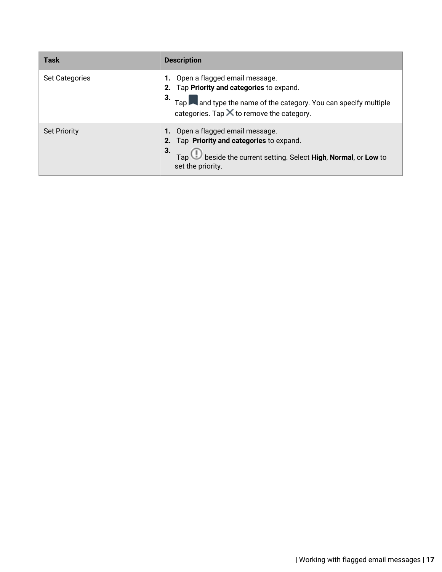| Task                | <b>Description</b>                                                                                                                                                                                   |
|---------------------|------------------------------------------------------------------------------------------------------------------------------------------------------------------------------------------------------|
| Set Categories      | 1. Open a flagged email message.<br>2. Tap Priority and categories to expand.<br>Tap and type the name of the category. You can specify multiple<br>categories. Tap $\times$ to remove the category. |
| <b>Set Priority</b> | 1. Open a flagged email message.<br>2. Tap Priority and categories to expand.<br>З.<br>Tap $\bigoplus$ beside the current setting. Select High, Normal, or Low to<br>set the priority.               |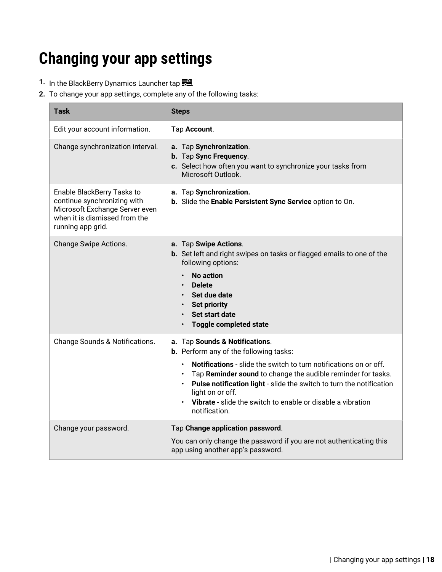## <span id="page-17-0"></span>**Changing your app settings**

- **1.** In the BlackBerry Dynamics Launcher tap
- **2.** To change your app settings, complete any of the following tasks:

| <b>Task</b>                                                                                                                                       | <b>Steps</b>                                                                                                                                                                                                                                                                                                                                                                                                         |
|---------------------------------------------------------------------------------------------------------------------------------------------------|----------------------------------------------------------------------------------------------------------------------------------------------------------------------------------------------------------------------------------------------------------------------------------------------------------------------------------------------------------------------------------------------------------------------|
| Edit your account information.                                                                                                                    | Tap Account.                                                                                                                                                                                                                                                                                                                                                                                                         |
| Change synchronization interval.                                                                                                                  | a. Tap Synchronization.<br>b. Tap Sync Frequency.<br>c. Select how often you want to synchronize your tasks from<br>Microsoft Outlook.                                                                                                                                                                                                                                                                               |
| Enable BlackBerry Tasks to<br>continue synchronizing with<br>Microsoft Exchange Server even<br>when it is dismissed from the<br>running app grid. | a. Tap Synchronization.<br>b. Slide the Enable Persistent Sync Service option to On.                                                                                                                                                                                                                                                                                                                                 |
| Change Swipe Actions.                                                                                                                             | a. Tap Swipe Actions.<br>b. Set left and right swipes on tasks or flagged emails to one of the<br>following options:<br><b>No action</b><br><b>Delete</b><br>Set due date<br><b>Set priority</b><br>Set start date<br>$\bullet$<br><b>Toggle completed state</b>                                                                                                                                                     |
| Change Sounds & Notifications.                                                                                                                    | a. Tap Sounds & Notifications.<br><b>b.</b> Perform any of the following tasks:<br>Notifications - slide the switch to turn notifications on or off.<br>$\bullet$<br>Tap Reminder sound to change the audible reminder for tasks.<br><b>Pulse notification light</b> - slide the switch to turn the notification<br>light on or off.<br>Vibrate - slide the switch to enable or disable a vibration<br>notification. |
| Change your password.                                                                                                                             | Tap Change application password.<br>You can only change the password if you are not authenticating this<br>app using another app's password.                                                                                                                                                                                                                                                                         |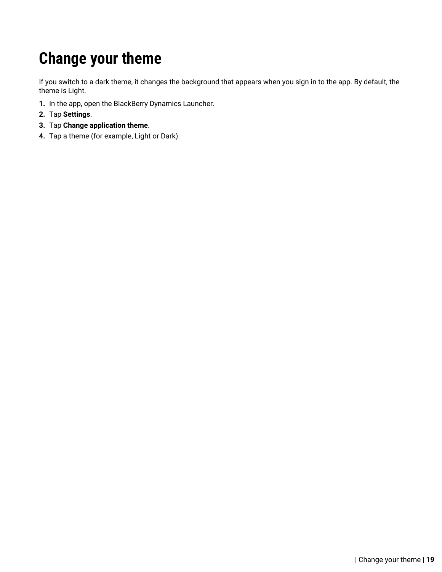## <span id="page-18-0"></span>**Change your theme**

If you switch to a dark theme, it changes the background that appears when you sign in to the app. By default, the theme is Light.

- **1.** In the app, open the BlackBerry Dynamics Launcher.
- **2.** Tap **Settings**.
- **3.** Tap **Change application theme**.
- **4.** Tap a theme (for example, Light or Dark).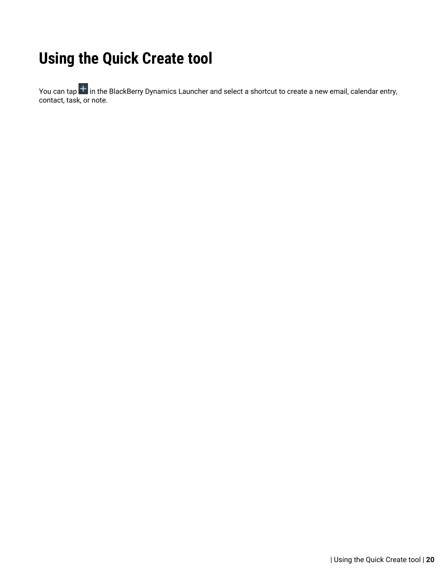## <span id="page-19-0"></span>**Using the Quick Create tool**

You can tap  $\blacksquare$  in the BlackBerry Dynamics Launcher and select a shortcut to create a new email, calendar entry, contact, task, or note.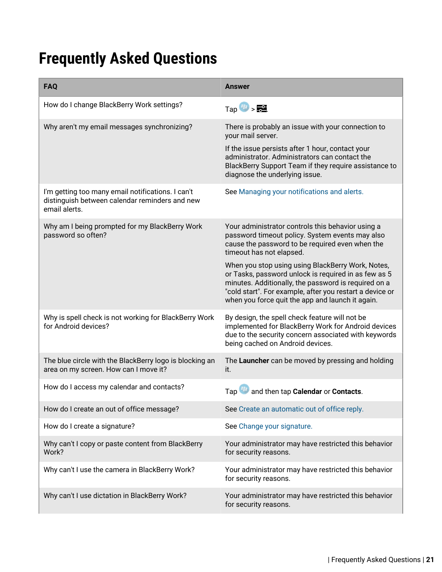## <span id="page-20-0"></span>**Frequently Asked Questions**

| <b>FAQ</b>                                                                                                           | <b>Answer</b>                                                                                                                                                                                                                                                                     |
|----------------------------------------------------------------------------------------------------------------------|-----------------------------------------------------------------------------------------------------------------------------------------------------------------------------------------------------------------------------------------------------------------------------------|
| How do I change BlackBerry Work settings?                                                                            | Tap $\frac{44}{3}$ > $\frac{1}{62}$ .                                                                                                                                                                                                                                             |
| Why aren't my email messages synchronizing?                                                                          | There is probably an issue with your connection to<br>your mail server.                                                                                                                                                                                                           |
|                                                                                                                      | If the issue persists after 1 hour, contact your<br>administrator. Administrators can contact the<br>BlackBerry Support Team if they require assistance to<br>diagnose the underlying issue.                                                                                      |
| I'm getting too many email notifications. I can't<br>distinguish between calendar reminders and new<br>email alerts. | See Managing your notifications and alerts.                                                                                                                                                                                                                                       |
| Why am I being prompted for my BlackBerry Work<br>password so often?                                                 | Your administrator controls this behavior using a<br>password timeout policy. System events may also<br>cause the password to be required even when the<br>timeout has not elapsed.                                                                                               |
|                                                                                                                      | When you stop using using BlackBerry Work, Notes,<br>or Tasks, password unlock is required in as few as 5<br>minutes. Additionally, the password is required on a<br>"cold start". For example, after you restart a device or<br>when you force quit the app and launch it again. |
| Why is spell check is not working for BlackBerry Work<br>for Android devices?                                        | By design, the spell check feature will not be<br>implemented for BlackBerry Work for Android devices<br>due to the security concern associated with keywords<br>being cached on Android devices.                                                                                 |
| The blue circle with the BlackBerry logo is blocking an<br>area on my screen. How can I move it?                     | The Launcher can be moved by pressing and holding<br>it.                                                                                                                                                                                                                          |
| How do I access my calendar and contacts?                                                                            | and then tap Calendar or Contacts.<br>Tan <sup>1</sup>                                                                                                                                                                                                                            |
| How do I create an out of office message?                                                                            | See Create an automatic out of office reply.                                                                                                                                                                                                                                      |
| How do I create a signature?                                                                                         | See Change your signature.                                                                                                                                                                                                                                                        |
| Why can't I copy or paste content from BlackBerry<br>Work?                                                           | Your administrator may have restricted this behavior<br>for security reasons.                                                                                                                                                                                                     |
| Why can't I use the camera in BlackBerry Work?                                                                       | Your administrator may have restricted this behavior<br>for security reasons.                                                                                                                                                                                                     |
| Why can't I use dictation in BlackBerry Work?                                                                        | Your administrator may have restricted this behavior<br>for security reasons.                                                                                                                                                                                                     |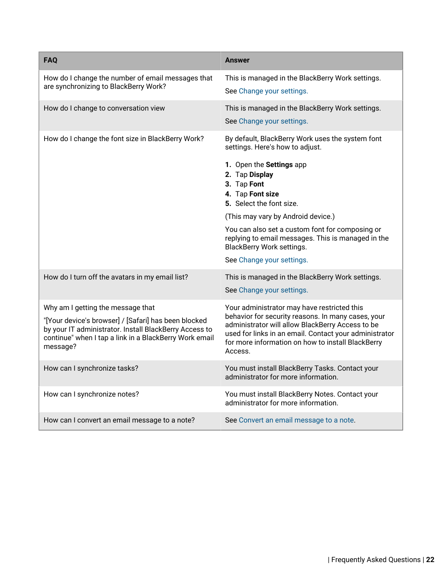| <b>FAQ</b>                                                                                                                                                                                                                | <b>Answer</b>                                                                                                                                                                                                                                                                                                                                                                                             |
|---------------------------------------------------------------------------------------------------------------------------------------------------------------------------------------------------------------------------|-----------------------------------------------------------------------------------------------------------------------------------------------------------------------------------------------------------------------------------------------------------------------------------------------------------------------------------------------------------------------------------------------------------|
| How do I change the number of email messages that<br>are synchronizing to BlackBerry Work?                                                                                                                                | This is managed in the BlackBerry Work settings.<br>See Change your settings.                                                                                                                                                                                                                                                                                                                             |
| How do I change to conversation view                                                                                                                                                                                      | This is managed in the BlackBerry Work settings.<br>See Change your settings.                                                                                                                                                                                                                                                                                                                             |
| How do I change the font size in BlackBerry Work?                                                                                                                                                                         | By default, BlackBerry Work uses the system font<br>settings. Here's how to adjust.<br>1. Open the Settings app<br>2. Tap Display<br>3. Tap Font<br>4. Tap Font size<br>5. Select the font size.<br>(This may vary by Android device.)<br>You can also set a custom font for composing or<br>replying to email messages. This is managed in the<br>BlackBerry Work settings.<br>See Change your settings. |
| How do I turn off the avatars in my email list?                                                                                                                                                                           | This is managed in the BlackBerry Work settings.<br>See Change your settings.                                                                                                                                                                                                                                                                                                                             |
| Why am I getting the message that<br>"[Your device's browser] / [Safari] has been blocked<br>by your IT administrator. Install BlackBerry Access to<br>continue" when I tap a link in a BlackBerry Work email<br>message? | Your administrator may have restricted this<br>behavior for security reasons. In many cases, your<br>administrator will allow BlackBerry Access to be<br>used for links in an email. Contact your administrator<br>for more information on how to install BlackBerry<br>Access.                                                                                                                           |
| How can I synchronize tasks?                                                                                                                                                                                              | You must install BlackBerry Tasks. Contact your<br>administrator for more information.                                                                                                                                                                                                                                                                                                                    |
| How can I synchronize notes?                                                                                                                                                                                              | You must install BlackBerry Notes. Contact your<br>administrator for more information.                                                                                                                                                                                                                                                                                                                    |
| How can I convert an email message to a note?                                                                                                                                                                             | See Convert an email message to a note.                                                                                                                                                                                                                                                                                                                                                                   |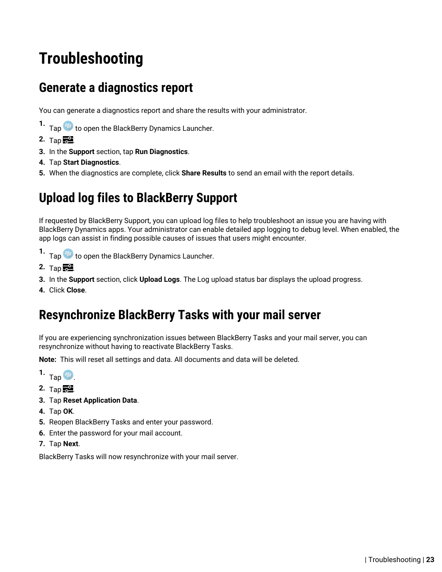## <span id="page-22-0"></span>**Troubleshooting**

### <span id="page-22-1"></span>**Generate a diagnostics report**

You can generate a diagnostics report and share the results with your administrator.

- **1.** Tap **the letter open the BlackBerry Dynamics Launcher.**
- $2.$  Tap  $\frac{1}{2}$ .
- **3.** In the **Support** section, tap **Run Diagnostics**.
- **4.** Tap **Start Diagnostics**.
- **5.** When the diagnostics are complete, click **Share Results** to send an email with the report details.

### <span id="page-22-2"></span>**Upload log files to BlackBerry Support**

If requested by BlackBerry Support, you can upload log files to help troubleshoot an issue you are having with BlackBerry Dynamics apps. Your administrator can enable detailed app logging to debug level. When enabled, the app logs can assist in finding possible causes of issues that users might encounter.

- **1.** Tap to open the BlackBerry Dynamics Launcher.
- $2. \tau_{\text{ap}} =$
- **3.** In the **Support** section, click **Upload Logs**. The Log upload status bar displays the upload progress.
- **4.** Click **Close**.

### <span id="page-22-3"></span>**Resynchronize BlackBerry Tasks with your mail server**

If you are experiencing synchronization issues between BlackBerry Tasks and your mail server, you can resynchronize without having to reactivate BlackBerry Tasks.

**Note:** This will reset all settings and data. All documents and data will be deleted.

- **1.** Tap  $\bigoplus$
- **2.** Tap .
- **3.** Tap **Reset Application Data**.
- **4.** Tap **OK**.
- **5.** Reopen BlackBerry Tasks and enter your password.
- **6.** Enter the password for your mail account.
- **7.** Tap **Next**.

BlackBerry Tasks will now resynchronize with your mail server.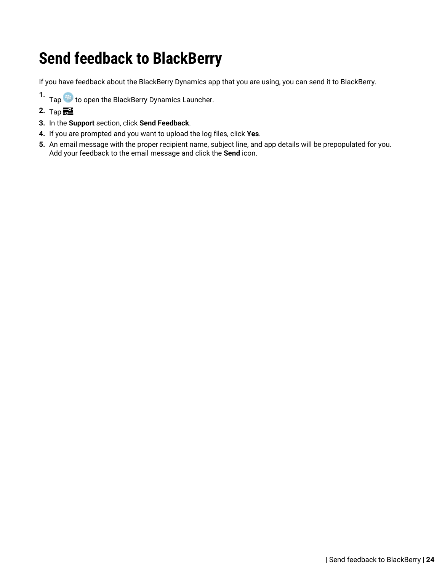## <span id="page-23-0"></span>**Send feedback to BlackBerry**

If you have feedback about the BlackBerry Dynamics app that you are using, you can send it to BlackBerry.

- **1.** Tap **to open the BlackBerry Dynamics Launcher.**
- **2.** Tap  $\frac{1}{2}$ .
- **3.** In the **Support** section, click **Send Feedback**.
- **4.** If you are prompted and you want to upload the log files, click **Yes**.
- **5.** An email message with the proper recipient name, subject line, and app details will be prepopulated for you. Add your feedback to the email message and click the **Send** icon.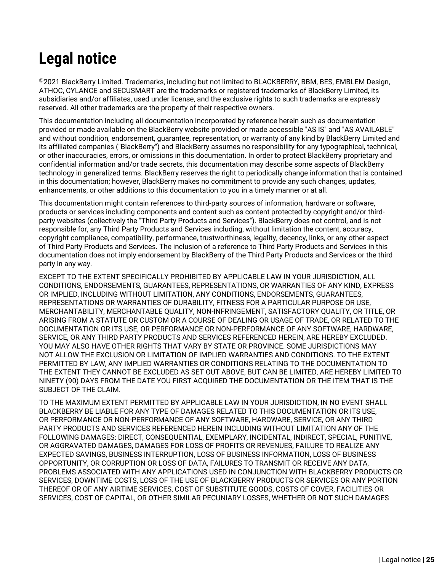## <span id="page-24-0"></span>**Legal notice**

©2021 BlackBerry Limited. Trademarks, including but not limited to BLACKBERRY, BBM, BES, EMBLEM Design, ATHOC, CYLANCE and SECUSMART are the trademarks or registered trademarks of BlackBerry Limited, its subsidiaries and/or affiliates, used under license, and the exclusive rights to such trademarks are expressly reserved. All other trademarks are the property of their respective owners.

This documentation including all documentation incorporated by reference herein such as documentation provided or made available on the BlackBerry website provided or made accessible "AS IS" and "AS AVAILABLE" and without condition, endorsement, guarantee, representation, or warranty of any kind by BlackBerry Limited and its affiliated companies ("BlackBerry") and BlackBerry assumes no responsibility for any typographical, technical, or other inaccuracies, errors, or omissions in this documentation. In order to protect BlackBerry proprietary and confidential information and/or trade secrets, this documentation may describe some aspects of BlackBerry technology in generalized terms. BlackBerry reserves the right to periodically change information that is contained in this documentation; however, BlackBerry makes no commitment to provide any such changes, updates, enhancements, or other additions to this documentation to you in a timely manner or at all.

This documentation might contain references to third-party sources of information, hardware or software, products or services including components and content such as content protected by copyright and/or thirdparty websites (collectively the "Third Party Products and Services"). BlackBerry does not control, and is not responsible for, any Third Party Products and Services including, without limitation the content, accuracy, copyright compliance, compatibility, performance, trustworthiness, legality, decency, links, or any other aspect of Third Party Products and Services. The inclusion of a reference to Third Party Products and Services in this documentation does not imply endorsement by BlackBerry of the Third Party Products and Services or the third party in any way.

EXCEPT TO THE EXTENT SPECIFICALLY PROHIBITED BY APPLICABLE LAW IN YOUR JURISDICTION, ALL CONDITIONS, ENDORSEMENTS, GUARANTEES, REPRESENTATIONS, OR WARRANTIES OF ANY KIND, EXPRESS OR IMPLIED, INCLUDING WITHOUT LIMITATION, ANY CONDITIONS, ENDORSEMENTS, GUARANTEES, REPRESENTATIONS OR WARRANTIES OF DURABILITY, FITNESS FOR A PARTICULAR PURPOSE OR USE, MERCHANTABILITY, MERCHANTABLE QUALITY, NON-INFRINGEMENT, SATISFACTORY QUALITY, OR TITLE, OR ARISING FROM A STATUTE OR CUSTOM OR A COURSE OF DEALING OR USAGE OF TRADE, OR RELATED TO THE DOCUMENTATION OR ITS USE, OR PERFORMANCE OR NON-PERFORMANCE OF ANY SOFTWARE, HARDWARE, SERVICE, OR ANY THIRD PARTY PRODUCTS AND SERVICES REFERENCED HEREIN, ARE HEREBY EXCLUDED. YOU MAY ALSO HAVE OTHER RIGHTS THAT VARY BY STATE OR PROVINCE. SOME JURISDICTIONS MAY NOT ALLOW THE EXCLUSION OR LIMITATION OF IMPLIED WARRANTIES AND CONDITIONS. TO THE EXTENT PERMITTED BY LAW, ANY IMPLIED WARRANTIES OR CONDITIONS RELATING TO THE DOCUMENTATION TO THE EXTENT THEY CANNOT BE EXCLUDED AS SET OUT ABOVE, BUT CAN BE LIMITED, ARE HEREBY LIMITED TO NINETY (90) DAYS FROM THE DATE YOU FIRST ACQUIRED THE DOCUMENTATION OR THE ITEM THAT IS THE SUBJECT OF THE CLAIM.

TO THE MAXIMUM EXTENT PERMITTED BY APPLICABLE LAW IN YOUR JURISDICTION, IN NO EVENT SHALL BLACKBERRY BE LIABLE FOR ANY TYPE OF DAMAGES RELATED TO THIS DOCUMENTATION OR ITS USE, OR PERFORMANCE OR NON-PERFORMANCE OF ANY SOFTWARE, HARDWARE, SERVICE, OR ANY THIRD PARTY PRODUCTS AND SERVICES REFERENCED HEREIN INCLUDING WITHOUT LIMITATION ANY OF THE FOLLOWING DAMAGES: DIRECT, CONSEQUENTIAL, EXEMPLARY, INCIDENTAL, INDIRECT, SPECIAL, PUNITIVE, OR AGGRAVATED DAMAGES, DAMAGES FOR LOSS OF PROFITS OR REVENUES, FAILURE TO REALIZE ANY EXPECTED SAVINGS, BUSINESS INTERRUPTION, LOSS OF BUSINESS INFORMATION, LOSS OF BUSINESS OPPORTUNITY, OR CORRUPTION OR LOSS OF DATA, FAILURES TO TRANSMIT OR RECEIVE ANY DATA, PROBLEMS ASSOCIATED WITH ANY APPLICATIONS USED IN CONJUNCTION WITH BLACKBERRY PRODUCTS OR SERVICES, DOWNTIME COSTS, LOSS OF THE USE OF BLACKBERRY PRODUCTS OR SERVICES OR ANY PORTION THEREOF OR OF ANY AIRTIME SERVICES, COST OF SUBSTITUTE GOODS, COSTS OF COVER, FACILITIES OR SERVICES, COST OF CAPITAL, OR OTHER SIMILAR PECUNIARY LOSSES, WHETHER OR NOT SUCH DAMAGES